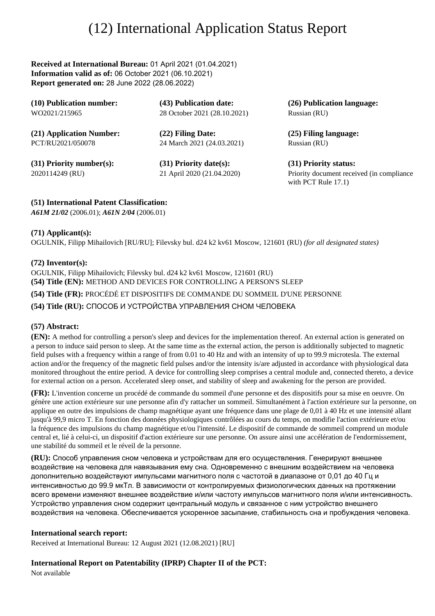# (12) International Application Status Report

**Received at International Bureau:** 01 April 2021 (01.04.2021) **Information valid as of:** 06 October 2021 (06.10.2021) **Report generated on:** 28 June 2022 (28.06.2022)

| (10) Publication number:   | (43) Publication date:       | (26) Publication language:                                          |
|----------------------------|------------------------------|---------------------------------------------------------------------|
| WO2021/215965              | 28 October 2021 (28.10.2021) | Russian (RU)                                                        |
| (21) Application Number:   | (22) Filing Date:            | (25) Filing language:                                               |
| PCT/RU2021/050078          | 24 March 2021 (24.03.2021)   | Russian (RU)                                                        |
| $(31)$ Priority number(s): | $(31)$ Priority date(s):     | (31) Priority status:                                               |
| 2020114249 (RU)            | 21 April 2020 (21.04.2020)   | Priority document received (in compliance<br>with PCT Rule $17.1$ ) |

## **(51) International Patent Classification:**

*A61M 21/02* (2006.01); *A61N 2/04* (2006.01)

## **(71) Applicant(s):**

OGULNIK, Filipp Mihailovich [RU/RU]; Filevsky bul. d24 k2 kv61 Moscow, 121601 (RU) *(for all designated states)*

## **(72) Inventor(s):**

OGULNIK, Filipp Mihailovich; Filevsky bul. d24 k2 kv61 Moscow, 121601 (RU) **(54) Title (EN):** METHOD AND DEVICES FOR CONTROLLING A PERSON'S SLEEP

**(54) Title (FR):** PROCÉDÉ ET DISPOSITIFS DE COMMANDE DU SOMMEIL D'UNE PERSONNE

**(54) Title (RU):** СПОСОБ И УСТРОЙСТВА УПРАВЛЕНИЯ СНОМ ЧЕЛОВЕКА

## **(57) Abstract:**

**(EN):** A method for controlling a person's sleep and devices for the implementation thereof. An external action is generated on a person to induce said person to sleep. At the same time as the external action, the person is additionally subjected to magnetic field pulses with a frequency within a range of from 0.01 to 40 Hz and with an intensity of up to 99.9 microtesla. The external action and/or the frequency of the magnetic field pulses and/or the intensity is/are adjusted in accordance with physiological data monitored throughout the entire period. A device for controlling sleep comprises a central module and, connected thereto, a device for external action on a person. Accelerated sleep onset, and stability of sleep and awakening for the person are provided.

**(FR):** L'invention concerne un procédé de commande du sommeil d'une personne et des dispositifs pour sa mise en oeuvre. On génère une action extérieure sur une personne afin d'y rattacher un sommeil. Simultanément à l'action extérieure sur la personne, on applique en outre des impulsions de champ magnétique ayant une fréquence dans une plage de 0,01 à 40 Hz et une intensité allant jusqu'à 99,9 micro T. En fonction des données physiologiques contrôlées au cours du temps, on modifie l'action extérieure et/ou la fréquence des impulsions du champ magnétique et/ou l'intensité. Le dispositif de commande de sommeil comprend un module central et, lié à celui-ci, un dispositif d'action extérieure sur une personne. On assure ainsi une accélération de l'endormissement, une stabilité du sommeil et le réveil de la personne.

**(RU):** Способ управления сном человека и устройствам для его осуществления. Генерируют внешнее воздействие на человека для навязывания ему сна. Одновременно с внешним воздействием на человека дополнительно воздействуют импульсами магнитного поля с частотой в диапазоне от 0,01 до 40 Гц и интенсивностью до 99.9 мкТл. В зависимости от контролируемых физиологических данных на протяжении всего времени изменяют внешнее воздействие и/или частоту импульсов магнитного поля и/или интенсивность. Устройство управления сном содержит центральный модуль и связанное с ним устройство внешнего воздействия на человека. Обеспечивается ускоренное засыпание, стабильность сна и пробуждения человека.

## **International search report:**

Received at International Bureau: 12 August 2021 (12.08.2021) [RU]

# **International Report on Patentability (IPRP) Chapter II of the PCT:**

Not available